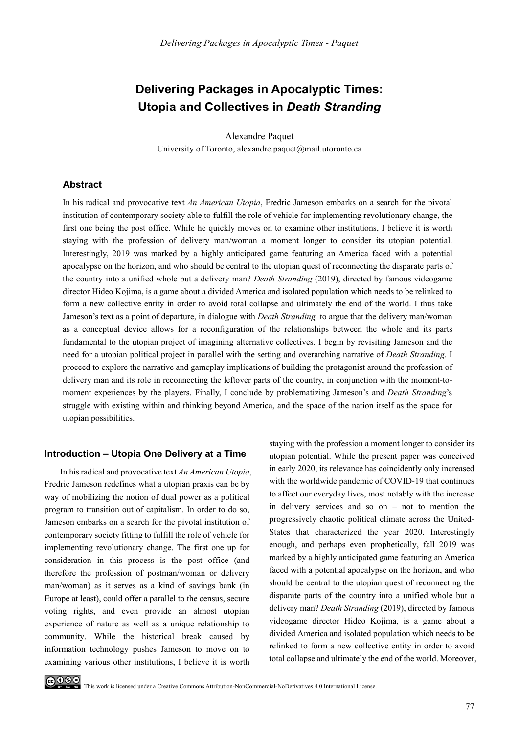# **Delivering Packages in Apocalyptic Times: Utopia and Collectives in** *Death Stranding*

Alexandre Paquet University of Toronto, alexandre.paquet@mail.utoronto.ca

#### **Abstract**

In his radical and provocative text *An American Utopia*, Fredric Jameson embarks on a search for the pivotal institution of contemporary society able to fulfill the role of vehicle for implementing revolutionary change, the first one being the post office. While he quickly moves on to examine other institutions, I believe it is worth staying with the profession of delivery man/woman a moment longer to consider its utopian potential. Interestingly, 2019 was marked by a highly anticipated game featuring an America faced with a potential apocalypse on the horizon, and who should be central to the utopian quest of reconnecting the disparate parts of the country into a unified whole but a delivery man? *Death Stranding* (2019), directed by famous videogame director Hideo Kojima, is a game about a divided America and isolated population which needs to be relinked to form a new collective entity in order to avoid total collapse and ultimately the end of the world. I thus take Jameson's text as a point of departure, in dialogue with *Death Stranding,* to argue that the delivery man/woman as a conceptual device allows for a reconfiguration of the relationships between the whole and its parts fundamental to the utopian project of imagining alternative collectives. I begin by revisiting Jameson and the need for a utopian political project in parallel with the setting and overarching narrative of *Death Stranding*. I proceed to explore the narrative and gameplay implications of building the protagonist around the profession of delivery man and its role in reconnecting the leftover parts of the country, in conjunction with the moment-tomoment experiences by the players. Finally, I conclude by problematizing Jameson's and *Death Stranding*'s struggle with existing within and thinking beyond America, and the space of the nation itself as the space for utopian possibilities.

#### **Introduction – Utopia One Delivery at a Time**

In his radical and provocative text *An American Utopia*, Fredric Jameson redefines what a utopian praxis can be by way of mobilizing the notion of dual power as a political program to transition out of capitalism. In order to do so, Jameson embarks on a search for the pivotal institution of contemporary society fitting to fulfill the role of vehicle for implementing revolutionary change. The first one up for consideration in this process is the post office (and therefore the profession of postman/woman or delivery man/woman) as it serves as a kind of savings bank (in Europe at least), could offer a parallel to the census, secure voting rights, and even provide an almost utopian experience of nature as well as a unique relationship to community. While the historical break caused by information technology pushes Jameson to move on to examining various other institutions, I believe it is worth

staying with the profession a moment longer to consider its utopian potential. While the present paper was conceived in early 2020, its relevance has coincidently only increased with the worldwide pandemic of COVID-19 that continues to affect our everyday lives, most notably with the increase in delivery services and so on – not to mention the progressively chaotic political climate across the United-States that characterized the year 2020. Interestingly enough, and perhaps even prophetically, fall 2019 was marked by a highly anticipated game featuring an America faced with a potential apocalypse on the horizon, and who should be central to the utopian quest of reconnecting the disparate parts of the country into a unified whole but a delivery man? *Death Stranding* (2019), directed by famous videogame director Hideo Kojima, is a game about a divided America and isolated population which needs to be relinked to form a new collective entity in order to avoid total collapse and ultimately the end of the world. Moreover,

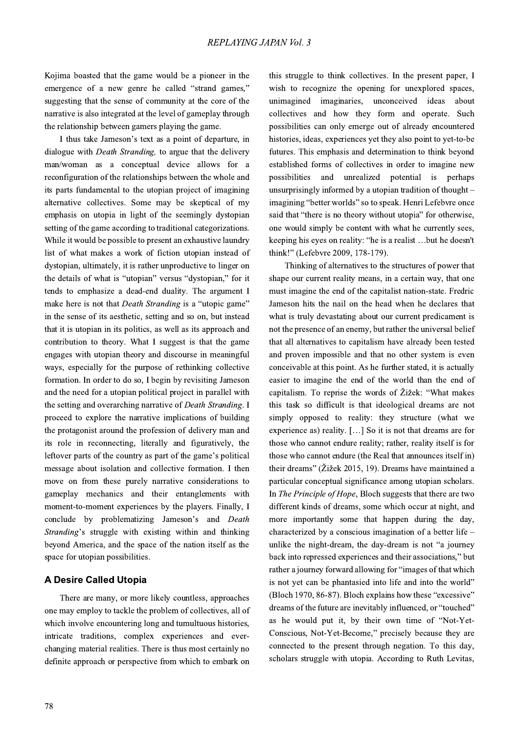Kojima boasted that the game would be a pioneer in the emergence of a new genre he called "strand games," suggesting that the sense of community at the core of the narrative is also integrated at the level of gameplay through the relationship between gamers playing the game.

I thus take Jameson's text as a point of departure, in dialogue with *Death Stranding*, to argue that the delivery man/woman as a conceptual device allows for a reconfiguration of the relationships between the whole and its parts fundamental to the utopian project of imagining alternative collectives. Some may be skeptical of my emphasis on utopia in light of the seemingly dystopian setting of the game according to traditional categorizations. While it would be possible to present an exhaustive laundry list of what makes a work of fiction utopian instead of dystopian, ultimately, it is rather unproductive to linger on the details of what is "utopian" versus "dystopian," for it tends to emphasize a dead-end duality. The argument I make here is not that *Death Stranding* is a "utopic game" in the sense of its aesthetic, setting and so on, but instead that it is utopian in its politics, as well as its approach and contribution to theory. What I suggest is that the game engages with utopian theory and discourse in meaningful ways, especially for the purpose of rethinking collective formation. In order to do so, I begin by revisiting Jameson and the need for a utopian political project in parallel with the setting and overarching narrative of Death Stranding. I proceed to explore the narrative implications of building the protagonist around the profession of delivery man and its role in reconnecting, literally and figuratively, the leftover parts of the country as part of the game's political message about isolation and collective formation. I then move on from these purely narrative considerations to gameplay mechanics and their entanglements with moment-to-moment experiences by the players. Finally, I conclude by problematizing Jameson's and Death Stranding's struggle with existing within and thinking beyond America, and the space of the nation itself as the space for utopian possibilities.

## **A Desire Called Utopia**

There are many, or more likely countless, approaches one may employ to tackle the problem of collectives, all of which involve encountering long and tumultuous histories, intricate traditions, complex experiences and everchanging material realities. There is thus most certainly no definite approach or perspective from which to embark on

78

this struggle to think collectives. In the present paper, I wish to recognize the opening for unexplored spaces, unimagined imaginaries, unconceived ideas about collectives and how they form and operate. Such possibilities can only emerge out of already encountered histories, ideas, experiences yet they also point to yet-to-be futures. This emphasis and determination to think beyond established forms of collectives in order to imagine new possibilities and unrealized potential is perhaps unsurprisingly informed by a utopian tradition of thought – imagining "better worlds" so to speak. Henri Lefebvre once said that "there is no theory without utopia" for otherwise, one would simply be content with what he currently sees, keeping his eyes on reality: "he is a realist ...but he doesn't think!" (Lefebvre 2009, 178-179).

Thinking of alternatives to the structures of power that shape our current reality means, in a certain way, that one must imagine the end of the capitalist nation-state. Fredric Jameson hits the nail on the head when he declares that what is truly devastating about our current predicament is not the presence of an enemy, but rather the universal belief that all alternatives to capitalism have already been tested and proven impossible and that no other system is even conceivable at this point. As he further stated, it is actually easier to imagine the end of the world than the end of capitalism. To reprise the words of Žižek: "What makes this task so difficult is that ideological dreams are not simply opposed to reality: they structure (what we experience as) reality. [...] So it is not that dreams are for those who cannot endure reality; rather, reality itself is for those who cannot endure (the Real that announces itself in) their dreams" (Žižek 2015, 19). Dreams have maintained a particular conceptual significance among utopian scholars. In The Principle of Hope, Bloch suggests that there are two different kinds of dreams, some which occur at night, and more importantly some that happen during the day, characterized by a conscious imagination of a better life  $$ unlike the night-dream, the day-dream is not "a journey" back into repressed experiences and their associations," but rather a journey forward allowing for "images of that which is not yet can be phantasied into life and into the world" (Bloch 1970, 86-87). Bloch explains how these "excessive" dreams of the future are inevitably influenced, or "touched" as he would put it, by their own time of "Not-Yet-Conscious, Not-Yet-Become," precisely because they are connected to the present through negation. To this day, scholars struggle with utopia. According to Ruth Levitas,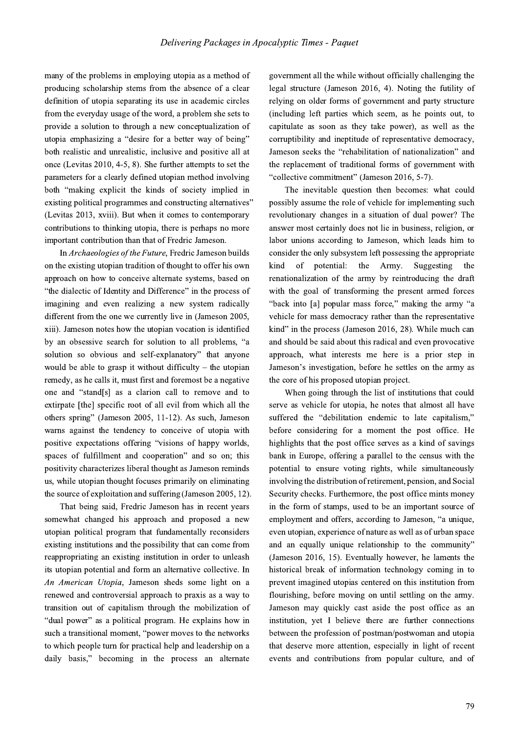many of the problems in employing utopia as a method of producing scholarship stems from the absence of a clear definition of utopia separating its use in academic circles from the everyday usage of the word, a problem she sets to provide a solution to through a new conceptualization of utopia emphasizing a "desire for a better way of being" both realistic and unrealistic, inclusive and positive all at once (Levitas 2010, 4-5, 8). She further attempts to set the parameters for a clearly defined utopian method involving both "making explicit the kinds of society implied in existing political programmes and constructing alternatives" (Levitas 2013, xviii). But when it comes to contemporary contributions to thinking utopia, there is perhaps no more important contribution than that of Fredric Jameson.

In Archaeologies of the Future, Fredric Jameson builds on the existing utopian tradition of thought to offer his own approach on how to conceive alternate systems, based on "the dialectic of Identity and Difference" in the process of imagining and even realizing a new system radically different from the one we currently live in (Jameson 2005, xiii). Jameson notes how the utopian vocation is identified by an obsessive search for solution to all problems, "a solution so obvious and self-explanatory" that anyone would be able to grasp it without difficulty – the utopian remedy, as he calls it, must first and foremost be a negative one and "stand[s] as a clarion call to remove and to extirpate [the] specific root of all evil from which all the others spring" (Jameson 2005, 11-12). As such, Jameson warns against the tendency to conceive of utopia with positive expectations offering "visions of happy worlds, spaces of fulfillment and cooperation" and so on; this positivity characterizes liberal thought as Jameson reminds us, while utopian thought focuses primarily on eliminating the source of exploitation and suffering (Jameson 2005, 12).

That being said, Fredric Jameson has in recent years somewhat changed his approach and proposed a new utopian political program that fundamentally reconsiders existing institutions and the possibility that can come from reappropriating an existing institution in order to unleash its utopian potential and form an alternative collective. In An American Utopia, Jameson sheds some light on a renewed and controversial approach to praxis as a way to transition out of capitalism through the mobilization of "dual power" as a political program. He explains how in such a transitional moment, "power moves to the networks to which people turn for practical help and leadership on a daily basis," becoming in the process an alternate

government all the while without officially challenging the legal structure (Jameson 2016, 4). Noting the futility of relying on older forms of government and party structure (including left parties which seem, as he points out, to capitulate as soon as they take power), as well as the corruptibility and ineptitude of representative democracy, Jameson seeks the "rehabilitation of nationalization" and the replacement of traditional forms of government with "collective commitment" (Jameson 2016, 5-7).

The inevitable question then becomes: what could possibly assume the role of vehicle for implementing such revolutionary changes in a situation of dual power? The answer most certainly does not lie in business, religion, or labor unions according to Jameson, which leads him to consider the only subsystem left possessing the appropriate of potential: the Army. kind Suggesting the renationalization of the army by reintroducing the draft with the goal of transforming the present armed forces "back into [a] popular mass force," making the army "a vehicle for mass democracy rather than the representative kind" in the process (Jameson 2016, 28). While much can and should be said about this radical and even provocative approach, what interests me here is a prior step in Jameson's investigation, before he settles on the army as the core of his proposed utopian project.

When going through the list of institutions that could serve as vehicle for utopia, he notes that almost all have suffered the "debilitation endemic to late capitalism," before considering for a moment the post office. He highlights that the post office serves as a kind of savings bank in Europe, offering a parallel to the census with the potential to ensure voting rights, while simultaneously involving the distribution of retirement, pension, and Social Security checks. Furthermore, the post office mints money in the form of stamps, used to be an important source of employment and offers, according to Jameson, "a unique, even utopian, experience of nature as well as of urban space and an equally unique relationship to the community" (Jameson 2016, 15). Eventually however, he laments the historical break of information technology coming in to prevent imagined utopias centered on this institution from flourishing, before moving on until settling on the army. Jameson may quickly cast aside the post office as an institution, yet I believe there are further connections between the profession of postman/postwoman and utopia that deserve more attention, especially in light of recent events and contributions from popular culture, and of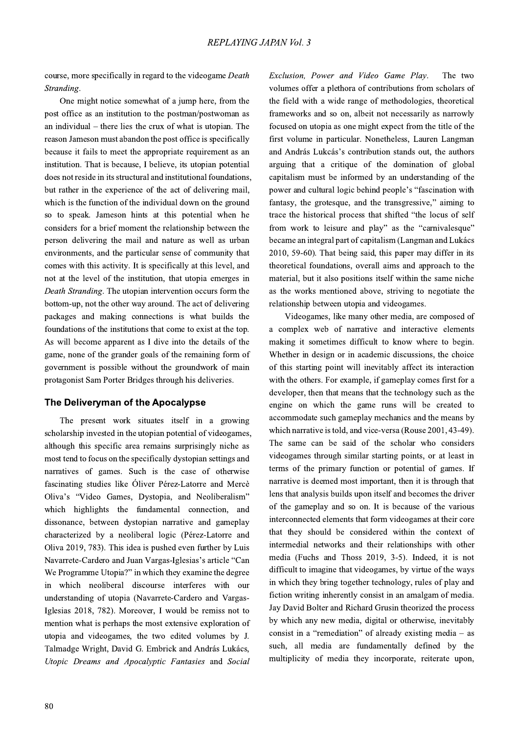course, more specifically in regard to the videogame Death Stranding.

One might notice somewhat of a jump here, from the post office as an institution to the postman/postwoman as an individual  $-$  there lies the crux of what is utopian. The reason Jameson must abandon the post office is specifically because it fails to meet the appropriate requirement as an institution. That is because, I believe, its utopian potential does not reside in its structural and institutional foundations, but rather in the experience of the act of delivering mail. which is the function of the individual down on the ground so to speak. Jameson hints at this potential when he considers for a brief moment the relationship between the person delivering the mail and nature as well as urban environments, and the particular sense of community that comes with this activity. It is specifically at this level, and not at the level of the institution, that utopia emerges in Death Stranding. The utopian intervention occurs form the bottom-up, not the other way around. The act of delivering packages and making connections is what builds the foundations of the institutions that come to exist at the top. As will become apparent as I dive into the details of the game, none of the grander goals of the remaining form of government is possible without the groundwork of main protagonist Sam Porter Bridges through his deliveries.

### The Deliveryman of the Apocalypse

The present work situates itself in a growing scholarship invested in the utopian potential of videogames, although this specific area remains surprisingly niche as most tend to focus on the specifically dystopian settings and narratives of games. Such is the case of otherwise fascinating studies like Óliver Pérez-Latorre and Mercè Oliva's "Video Games, Dystopia, and Neoliberalism" which highlights the fundamental connection, and dissonance, between dystopian narrative and gameplay characterized by a neoliberal logic (Pérez-Latorre and Oliva 2019, 783). This idea is pushed even further by Luis Navarrete-Cardero and Juan Vargas-Iglesias's article "Can We Programme Utopia?" in which they examine the degree in which neoliberal discourse interferes with our understanding of utopia (Navarrete-Cardero and Vargas-Iglesias 2018, 782). Moreover, I would be remiss not to mention what is perhaps the most extensive exploration of utopia and videogames, the two edited volumes by J. Talmadge Wright, David G. Embrick and András Lukács, Utopic Dreams and Apocalyptic Fantasies and Social

Exclusion. Power and Video Game Play. The two volumes offer a plethora of contributions from scholars of the field with a wide range of methodologies, theoretical frameworks and so on, albeit not necessarily as narrowly focused on utopia as one might expect from the title of the first volume in particular. Nonetheless, Lauren Langman and András Lukcás's contribution stands out, the authors arguing that a critique of the domination of global capitalism must be informed by an understanding of the power and cultural logic behind people's "fascination with fantasy, the grotesque, and the transgressive," aiming to trace the historical process that shifted "the locus of self from work to leisure and play" as the "carnivalesque" became an integral part of capitalism (Langman and Lukács 2010, 59-60). That being said, this paper may differ in its theoretical foundations, overall aims and approach to the material, but it also positions itself within the same niche as the works mentioned above, striving to negotiate the relationship between utopia and videogames.

Videogames, like many other media, are composed of a complex web of narrative and interactive elements making it sometimes difficult to know where to begin. Whether in design or in academic discussions, the choice of this starting point will inevitably affect its interaction with the others. For example, if gameplay comes first for a developer, then that means that the technology such as the engine on which the game runs will be created to accommodate such gameplay mechanics and the means by which narrative is told, and vice-versa (Rouse 2001, 43-49). The same can be said of the scholar who considers videogames through similar starting points, or at least in terms of the primary function or potential of games. If narrative is deemed most important, then it is through that lens that analysis builds upon itself and becomes the driver of the gameplay and so on. It is because of the various interconnected elements that form videogames at their core that they should be considered within the context of intermedial networks and their relationships with other media (Fuchs and Thoss 2019, 3-5). Indeed, it is not difficult to imagine that videogames, by virtue of the ways in which they bring together technology, rules of play and fiction writing inherently consist in an amalgam of media. Jay David Bolter and Richard Grusin theorized the process by which any new media, digital or otherwise, inevitably consist in a "remediation" of already existing media  $-$  as such, all media are fundamentally defined by the multiplicity of media they incorporate, reiterate upon,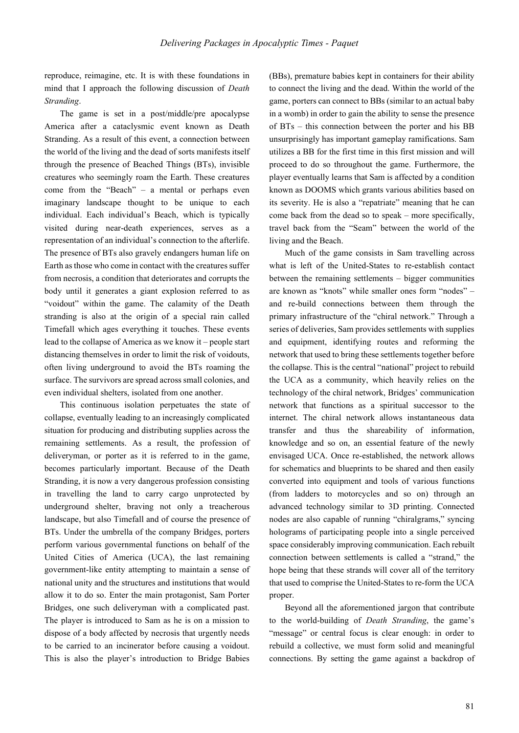reproduce, reimagine, etc. It is with these foundations in mind that I approach the following discussion of *Death Stranding*.

The game is set in a post/middle/pre apocalypse America after a cataclysmic event known as Death Stranding. As a result of this event, a connection between the world of the living and the dead of sorts manifests itself through the presence of Beached Things (BTs), invisible creatures who seemingly roam the Earth. These creatures come from the "Beach" – a mental or perhaps even imaginary landscape thought to be unique to each individual. Each individual's Beach, which is typically visited during near-death experiences, serves as a representation of an individual's connection to the afterlife. The presence of BTs also gravely endangers human life on Earth as those who come in contact with the creatures suffer from necrosis, a condition that deteriorates and corrupts the body until it generates a giant explosion referred to as "voidout" within the game. The calamity of the Death stranding is also at the origin of a special rain called Timefall which ages everything it touches. These events lead to the collapse of America as we know it – people start distancing themselves in order to limit the risk of voidouts, often living underground to avoid the BTs roaming the surface. The survivors are spread across small colonies, and even individual shelters, isolated from one another.

This continuous isolation perpetuates the state of collapse, eventually leading to an increasingly complicated situation for producing and distributing supplies across the remaining settlements. As a result, the profession of deliveryman, or porter as it is referred to in the game, becomes particularly important. Because of the Death Stranding, it is now a very dangerous profession consisting in travelling the land to carry cargo unprotected by underground shelter, braving not only a treacherous landscape, but also Timefall and of course the presence of BTs. Under the umbrella of the company Bridges, porters perform various governmental functions on behalf of the United Cities of America (UCA), the last remaining government-like entity attempting to maintain a sense of national unity and the structures and institutions that would allow it to do so. Enter the main protagonist, Sam Porter Bridges, one such deliveryman with a complicated past. The player is introduced to Sam as he is on a mission to dispose of a body affected by necrosis that urgently needs to be carried to an incinerator before causing a voidout. This is also the player's introduction to Bridge Babies (BBs), premature babies kept in containers for their ability to connect the living and the dead. Within the world of the game, porters can connect to BBs (similar to an actual baby in a womb) in order to gain the ability to sense the presence of BTs – this connection between the porter and his BB unsurprisingly has important gameplay ramifications. Sam utilizes a BB for the first time in this first mission and will proceed to do so throughout the game. Furthermore, the player eventually learns that Sam is affected by a condition known as DOOMS which grants various abilities based on its severity. He is also a "repatriate" meaning that he can come back from the dead so to speak – more specifically, travel back from the "Seam" between the world of the living and the Beach.

Much of the game consists in Sam travelling across what is left of the United-States to re-establish contact between the remaining settlements – bigger communities are known as "knots" while smaller ones form "nodes" – and re-build connections between them through the primary infrastructure of the "chiral network." Through a series of deliveries, Sam provides settlements with supplies and equipment, identifying routes and reforming the network that used to bring these settlements together before the collapse. This is the central "national" project to rebuild the UCA as a community, which heavily relies on the technology of the chiral network, Bridges' communication network that functions as a spiritual successor to the internet. The chiral network allows instantaneous data transfer and thus the shareability of information, knowledge and so on, an essential feature of the newly envisaged UCA. Once re-established, the network allows for schematics and blueprints to be shared and then easily converted into equipment and tools of various functions (from ladders to motorcycles and so on) through an advanced technology similar to 3D printing. Connected nodes are also capable of running "chiralgrams," syncing holograms of participating people into a single perceived space considerably improving communication. Each rebuilt connection between settlements is called a "strand," the hope being that these strands will cover all of the territory that used to comprise the United-States to re-form the UCA proper.

Beyond all the aforementioned jargon that contribute to the world-building of *Death Stranding*, the game's "message" or central focus is clear enough: in order to rebuild a collective, we must form solid and meaningful connections. By setting the game against a backdrop of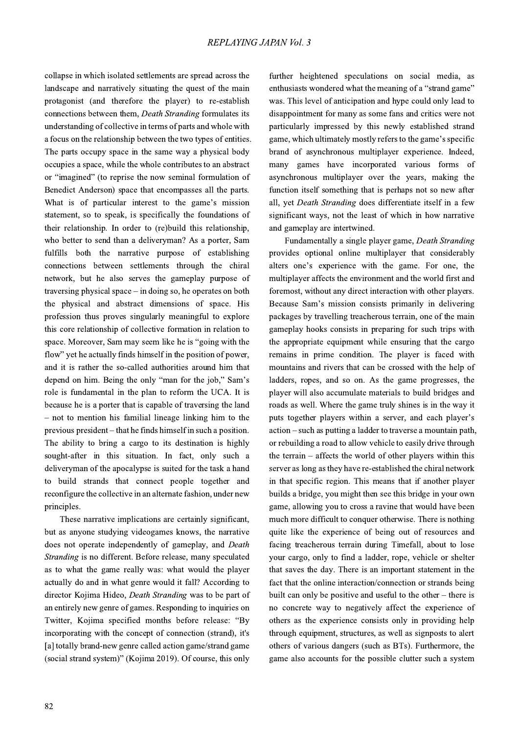collapse in which isolated settlements are spread across the landscape and narratively situating the quest of the main protagonist (and therefore the player) to re-establish connections between them, *Death Stranding* formulates its understanding of collective in terms of parts and whole with a focus on the relationship between the two types of entities. The parts occupy space in the same way a physical body occupies a space, while the whole contributes to an abstract or "imagined" (to reprise the now seminal formulation of Benedict Anderson) space that encompasses all the parts. What is of particular interest to the game's mission statement, so to speak, is specifically the foundations of their relationship. In order to (re)build this relationship, who better to send than a deliveryman? As a porter, Sam fulfills both the narrative purpose of establishing connections between settlements through the chiral network, but he also serves the gameplay purpose of traversing physical space – in doing so, he operates on both the physical and abstract dimensions of space. His profession thus proves singularly meaningful to explore this core relationship of collective formation in relation to space. Moreover, Sam may seem like he is "going with the flow" yet he actually finds himself in the position of power, and it is rather the so-called authorities around him that depend on him. Being the only "man for the job," Sam's role is fundamental in the plan to reform the UCA. It is because he is a porter that is capable of traversing the land  $-$  not to mention his familial lineage linking him to the previous president – that he finds himself in such a position. The ability to bring a cargo to its destination is highly sought-after in this situation. In fact, only such a deliveryman of the apocalypse is suited for the task a hand to build strands that connect people together and reconfigure the collective in an alternate fashion, under new principles.

These narrative implications are certainly significant, but as anyone studying videogames knows, the narrative does not operate independently of gameplay, and Death Stranding is no different. Before release, many speculated as to what the game really was: what would the player actually do and in what genre would it fall? According to director Kojima Hideo, Death Stranding was to be part of an entirely new genre of games. Responding to inquiries on Twitter, Kojima specified months before release: "By incorporating with the concept of connection (strand), it's [a] totally brand-new genre called action game/strand game (social strand system)" (Kojima 2019). Of course, this only

further heightened speculations on social media, as enthusiasts wondered what the meaning of a "strand game" was. This level of anticipation and hype could only lead to disappointment for many as some fans and critics were not particularly impressed by this newly established strand game, which ultimately mostly refers to the game's specific brand of asynchronous multiplayer experience. Indeed, many games have incorporated various forms of asynchronous multiplayer over the years, making the function itself something that is perhaps not so new after all, yet *Death Stranding* does differentiate itself in a few significant ways, not the least of which in how narrative and gameplay are intertwined.

Fundamentally a single player game, Death Stranding provides optional online multiplayer that considerably alters one's experience with the game. For one, the multiplayer affects the environment and the world first and foremost, without any direct interaction with other players. Because Sam's mission consists primarily in delivering packages by travelling treacherous terrain, one of the main gameplay hooks consists in preparing for such trips with the appropriate equipment while ensuring that the cargo remains in prime condition. The player is faced with mountains and rivers that can be crossed with the help of ladders, ropes, and so on. As the game progresses, the player will also accumulate materials to build bridges and roads as well. Where the game truly shines is in the way it puts together players within a server, and each player's action – such as putting a ladder to traverse a mountain path, or rebuilding a road to allow vehicle to easily drive through the terrain  $-$  affects the world of other players within this server as long as they have re-established the chiral network in that specific region. This means that if another player builds a bridge, you might then see this bridge in your own game, allowing you to cross a ravine that would have been much more difficult to conquer otherwise. There is nothing quite like the experience of being out of resources and facing treacherous terrain during Timefall, about to lose your cargo, only to find a ladder, rope, vehicle or shelter that saves the day. There is an important statement in the fact that the online interaction/connection or strands being built can only be positive and useful to the other  $-$  there is no concrete way to negatively affect the experience of others as the experience consists only in providing help through equipment, structures, as well as signposts to alert others of various dangers (such as BTs). Furthermore, the game also accounts for the possible clutter such a system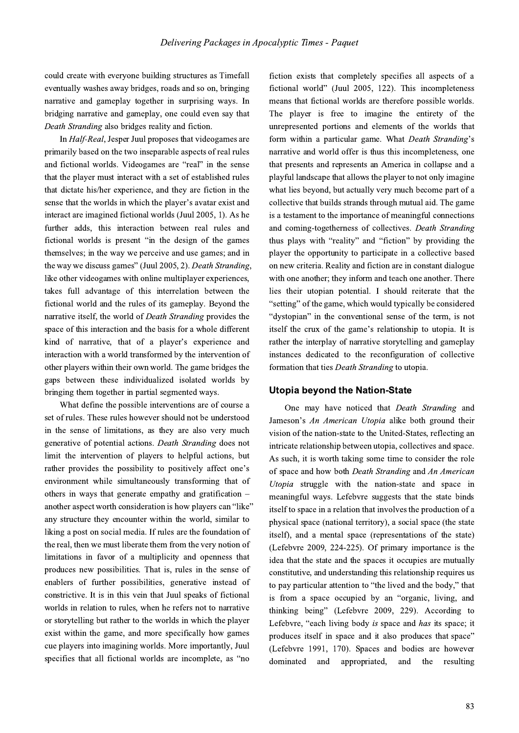could create with everyone building structures as Timefall eventually washes away bridges, roads and so on, bringing narrative and gameplay together in surprising ways. In bridging narrative and gameplay, one could even say that Death Stranding also bridges reality and fiction.

In *Half-Real*, Jesper Juul proposes that videogames are primarily based on the two inseparable aspects of real rules and fictional worlds. Videogames are "real" in the sense that the player must interact with a set of established rules that dictate his/her experience, and they are fiction in the sense that the worlds in which the player's avatar exist and interact are imagined fictional worlds (Juul 2005, 1). As he further adds, this interaction between real rules and fictional worlds is present "in the design of the games themselves; in the way we perceive and use games; and in the way we discuss games" (Juul 2005, 2). Death Stranding, like other videogames with online multiplayer experiences, takes full advantage of this interrelation between the fictional world and the rules of its gameplay. Beyond the narrative itself, the world of *Death Stranding* provides the space of this interaction and the basis for a whole different kind of narrative, that of a player's experience and interaction with a world transformed by the intervention of other players within their own world. The game bridges the gaps between these individualized isolated worlds by bringing them together in partial segmented ways.

What define the possible interventions are of course a set of rules. These rules however should not be understood in the sense of limitations, as they are also very much generative of potential actions. Death Stranding does not limit the intervention of players to helpful actions, but rather provides the possibility to positively affect one's environment while simultaneously transforming that of others in ways that generate empathy and gratification – another aspect worth consideration is how players can "like" any structure they encounter within the world, similar to liking a post on social media. If rules are the foundation of the real, then we must liberate them from the very notion of limitations in favor of a multiplicity and openness that produces new possibilities. That is, rules in the sense of enablers of further possibilities, generative instead of constrictive. It is in this vein that Juul speaks of fictional worlds in relation to rules, when he refers not to narrative or storytelling but rather to the worlds in which the player exist within the game, and more specifically how games cue players into imagining worlds. More importantly, Juul specifies that all fictional worlds are incomplete, as "no

fiction exists that completely specifies all aspects of a fictional world" (Juul 2005, 122). This incompleteness means that fictional worlds are therefore possible worlds. The player is free to imagine the entirety of the unrepresented portions and elements of the worlds that form within a particular game. What Death Stranding's narrative and world offer is thus this incompleteness, one that presents and represents an America in collapse and a playful landscape that allows the player to not only imagine what lies beyond, but actually very much become part of a collective that builds strands through mutual aid. The game is a testament to the importance of meaningful connections and coming-togetherness of collectives. Death Stranding thus plays with "reality" and "fiction" by providing the player the opportunity to participate in a collective based on new criteria. Reality and fiction are in constant dialogue with one another; they inform and teach one another. There lies their utopian potential. I should reiterate that the "setting" of the game, which would typically be considered "dystopian" in the conventional sense of the term, is not itself the crux of the game's relationship to utopia. It is rather the interplay of narrative storytelling and gameplay instances dedicated to the reconfiguration of collective formation that ties Death Stranding to utopia.

## **Utopia beyond the Nation-State**

One may have noticed that *Death Stranding* and Jameson's An American Utopia alike both ground their vision of the nation-state to the United-States, reflecting an intricate relationship between utopia, collectives and space. As such, it is worth taking some time to consider the role of space and how both Death Stranding and An American Utopia struggle with the nation-state and space in meaningful ways. Lefebvre suggests that the state binds itself to space in a relation that involves the production of a physical space (national territory), a social space (the state itself), and a mental space (representations of the state) (Lefebvre 2009, 224-225). Of primary importance is the idea that the state and the spaces it occupies are mutually constitutive, and understanding this relationship requires us to pay particular attention to "the lived and the body," that is from a space occupied by an "organic, living, and thinking being" (Lefebvre 2009, 229). According to Lefebvre, "each living body is space and has its space; it produces itself in space and it also produces that space" (Lefebvre 1991, 170). Spaces and bodies are however dominated and appropriated, and the resulting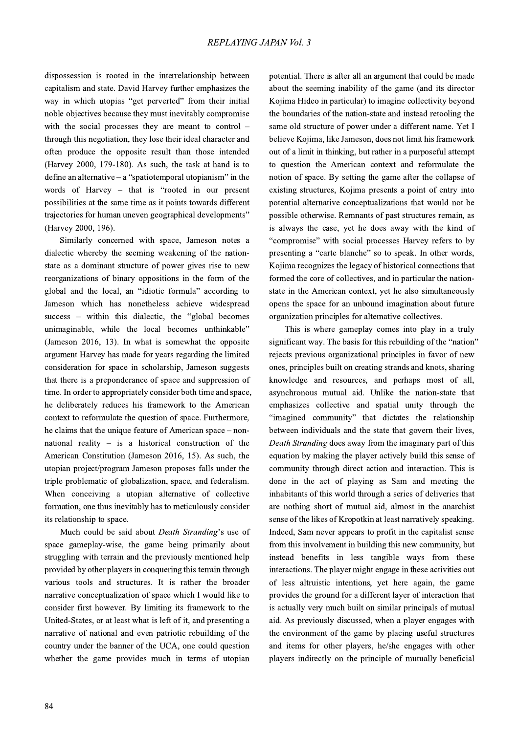dispossession is rooted in the interrelationship between capitalism and state. David Harvey further emphasizes the way in which utopias "get perverted" from their initial noble objectives because they must inevitably compromise with the social processes they are meant to control through this negotiation, they lose their ideal character and often produce the opposite result than those intended (Harvey 2000, 179-180). As such, the task at hand is to define an alternative  $-$  a "spatiotemporal utopianism" in the words of Harvey - that is "rooted in our present possibilities at the same time as it points towards different trajectories for human uneven geographical developments" (Harvey 2000, 196).

Similarly concerned with space, Jameson notes a dialectic whereby the seeming weakening of the nationstate as a dominant structure of power gives rise to new reorganizations of binary oppositions in the form of the global and the local, an "idiotic formula" according to Jameson which has nonetheless achieve widespread success - within this dialectic, the "global becomes unimaginable, while the local becomes unthinkable" (Jameson 2016, 13). In what is somewhat the opposite argument Harvey has made for years regarding the limited consideration for space in scholarship, Jameson suggests that there is a preponderance of space and suppression of time. In order to appropriately consider both time and space, he deliberately reduces his framework to the American context to reformulate the question of space. Furthermore, he claims that the unique feature of American space – nonnational reality  $-$  is a historical construction of the American Constitution (Jameson 2016, 15). As such, the utopian project/program Jameson proposes falls under the triple problematic of globalization, space, and federalism. When conceiving a utopian alternative of collective formation, one thus inevitably has to meticulously consider its relationship to space.

Much could be said about *Death Stranding's* use of space gameplay-wise, the game being primarily about struggling with terrain and the previously mentioned help provided by other players in conquering this terrain through various tools and structures. It is rather the broader narrative conceptualization of space which I would like to consider first however. By limiting its framework to the United-States, or at least what is left of it, and presenting a narrative of national and even patriotic rebuilding of the country under the banner of the UCA, one could question whether the game provides much in terms of utopian

potential. There is after all an argument that could be made about the seeming inability of the game (and its director Kojima Hideo in particular) to imagine collectivity beyond the boundaries of the nation-state and instead retooling the same old structure of power under a different name. Yet I believe Kojima, like Jameson, does not limit his framework out of a limit in thinking, but rather in a purposeful attempt to question the American context and reformulate the notion of space. By setting the game after the collapse of existing structures, Kojima presents a point of entry into potential alternative conceptualizations that would not be possible otherwise. Remnants of past structures remain, as is always the case, yet he does away with the kind of "compromise" with social processes Harvey refers to by presenting a "carte blanche" so to speak. In other words, Kojima recognizes the legacy of historical connections that formed the core of collectives, and in particular the nationstate in the American context, yet he also simultaneously opens the space for an unbound imagination about future organization principles for alternative collectives.

This is where gameplay comes into play in a truly significant way. The basis for this rebuilding of the "nation" rejects previous organizational principles in favor of new ones, principles built on creating strands and knots, sharing knowledge and resources, and perhaps most of all, asynchronous mutual aid. Unlike the nation-state that emphasizes collective and spatial unity through the "imagined community" that dictates the relationship between individuals and the state that govern their lives, Death Stranding does away from the imaginary part of this equation by making the player actively build this sense of community through direct action and interaction. This is done in the act of playing as Sam and meeting the inhabitants of this world through a series of deliveries that are nothing short of mutual aid, almost in the anarchist sense of the likes of Kropotkin at least narratively speaking. Indeed, Sam never appears to profit in the capitalist sense from this involvement in building this new community, but instead benefits in less tangible ways from these interactions. The player might engage in these activities out of less altruistic intentions, yet here again, the game provides the ground for a different layer of interaction that is actually very much built on similar principals of mutual aid. As previously discussed, when a player engages with the environment of the game by placing useful structures and items for other players, he/she engages with other players indirectly on the principle of mutually beneficial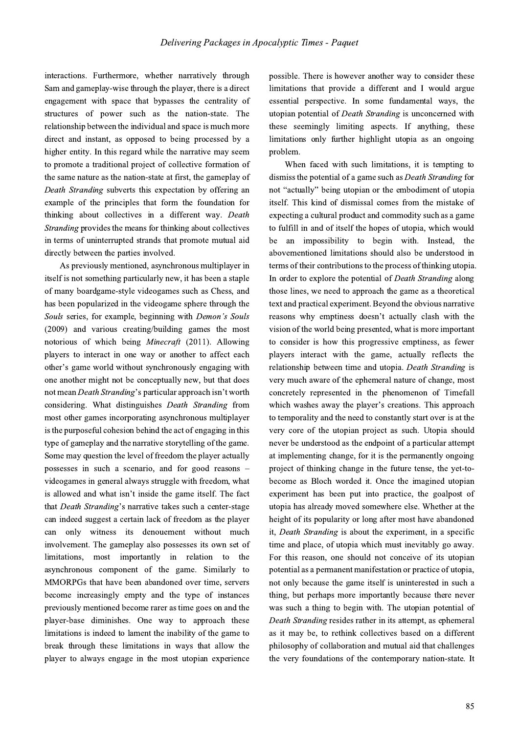interactions. Furthermore, whether narratively through Sam and gameplay-wise through the player, there is a direct engagement with space that bypasses the centrality of structures of power such as the nation-state. The relationship between the individual and space is much more direct and instant, as opposed to being processed by a higher entity. In this regard while the narrative may seem to promote a traditional project of collective formation of the same nature as the nation-state at first, the gameplay of Death Stranding subverts this expectation by offering an example of the principles that form the foundation for thinking about collectives in a different way. Death *Stranding* provides the means for thinking about collectives in terms of uninterrupted strands that promote mutual aid directly between the parties involved.

As previously mentioned, asynchronous multiplayer in itself is not something particularly new, it has been a staple of many boardgame-style videogames such as Chess, and has been popularized in the videogame sphere through the Souls series, for example, beginning with Demon's Souls (2009) and various creating/building games the most notorious of which being *Minecraft* (2011). Allowing players to interact in one way or another to affect each other's game world without synchronously engaging with one another might not be conceptually new, but that does not mean Death Stranding's particular approach isn't worth considering. What distinguishes Death Stranding from most other games incorporating asynchronous multiplayer is the purposeful cohesion behind the act of engaging in this type of gameplay and the narrative storytelling of the game. Some may question the level of freedom the player actually possesses in such a scenario, and for good reasons videogames in general always struggle with freedom, what is allowed and what isn't inside the game itself. The fact that Death Stranding's narrative takes such a center-stage can indeed suggest a certain lack of freedom as the player only witness its denouement without much can involvement. The gameplay also possesses its own set of limitations, most importantly in relation to the asynchronous component of the game. Similarly to MMORPGs that have been abandoned over time, servers become increasingly empty and the type of instances previously mentioned become rarer as time goes on and the player-base diminishes. One way to approach these limitations is indeed to lament the inability of the game to break through these limitations in ways that allow the player to always engage in the most utopian experience

possible. There is however another way to consider these limitations that provide a different and I would argue essential perspective. In some fundamental ways, the utopian potential of *Death Stranding* is unconcerned with these seemingly limiting aspects. If anything, these limitations only further highlight utopia as an ongoing problem.

When faced with such limitations, it is tempting to dismiss the potential of a game such as *Death Stranding* for not "actually" being utopian or the embodiment of utopia itself. This kind of dismissal comes from the mistake of expecting a cultural product and commodity such as a game to fulfill in and of itself the hopes of utopia, which would be an impossibility to begin with. Instead, the abovementioned limitations should also be understood in terms of their contributions to the process of thinking utopia. In order to explore the potential of *Death Stranding* along those lines, we need to approach the game as a theoretical text and practical experiment. Beyond the obvious narrative reasons why emptiness doesn't actually clash with the vision of the world being presented, what is more important to consider is how this progressive emptiness, as fewer players interact with the game, actually reflects the relationship between time and utopia. Death Stranding is very much aware of the ephemeral nature of change, most concretely represented in the phenomenon of Timefall which washes away the player's creations. This approach to temporality and the need to constantly start over is at the very core of the utopian project as such. Utopia should never be understood as the endpoint of a particular attempt at implementing change, for it is the permanently ongoing project of thinking change in the future tense, the yet-tobecome as Bloch worded it. Once the imagined utopian experiment has been put into practice, the goalpost of utopia has already moved somewhere else. Whether at the height of its popularity or long after most have abandoned it, Death Stranding is about the experiment, in a specific time and place, of utopia which must inevitably go away. For this reason, one should not conceive of its utopian potential as a permanent manifestation or practice of utopia, not only because the game itself is uninterested in such a thing, but perhaps more importantly because there never was such a thing to begin with. The utopian potential of Death Stranding resides rather in its attempt, as ephemeral as it may be, to rethink collectives based on a different philosophy of collaboration and mutual aid that challenges the very foundations of the contemporary nation-state. It